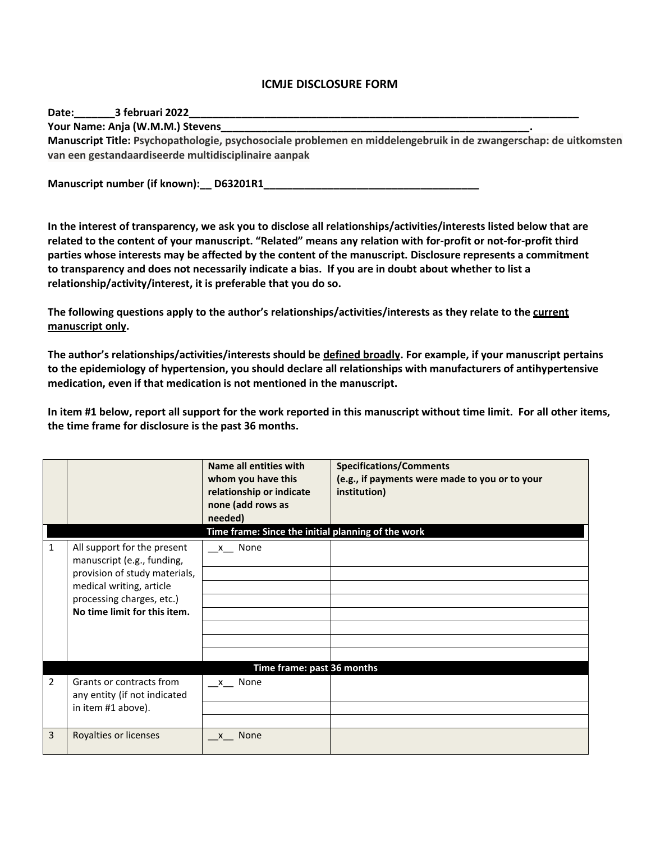## **ICMJE DISCLOSURE FORM**

Date: **3 februari 2022** 

**Your Name: Anja (W.M.M.) Stevens\_\_\_\_\_\_\_\_\_\_\_\_\_\_\_\_\_\_\_\_\_\_\_\_\_\_\_\_\_\_\_\_\_\_\_\_\_\_\_\_\_\_\_\_\_\_\_\_\_\_\_\_\_.** 

**Manuscript Title: Psychopathologie, psychosociale problemen en middelengebruik in de zwangerschap: de uitkomsten van een gestandaardiseerde multidisciplinaire aanpak**

**Manuscript number (if known): \_\_\_ D63201R1** 

**In the interest of transparency, we ask you to disclose all relationships/activities/interests listed below that are related to the content of your manuscript. "Related" means any relation with for-profit or not-for-profit third parties whose interests may be affected by the content of the manuscript. Disclosure represents a commitment to transparency and does not necessarily indicate a bias. If you are in doubt about whether to list a relationship/activity/interest, it is preferable that you do so.** 

**The following questions apply to the author's relationships/activities/interests as they relate to the current manuscript only.**

**The author's relationships/activities/interests should be defined broadly. For example, if your manuscript pertains to the epidemiology of hypertension, you should declare all relationships with manufacturers of antihypertensive medication, even if that medication is not mentioned in the manuscript.** 

**In item #1 below, report all support for the work reported in this manuscript without time limit. For all other items, the time frame for disclosure is the past 36 months.** 

|                |                                                                                                                                                      | Name all entities with<br>whom you have this<br>relationship or indicate<br>none (add rows as<br>needed) | <b>Specifications/Comments</b><br>(e.g., if payments were made to you or to your<br>institution) |  |  |
|----------------|------------------------------------------------------------------------------------------------------------------------------------------------------|----------------------------------------------------------------------------------------------------------|--------------------------------------------------------------------------------------------------|--|--|
|                | Time frame: Since the initial planning of the work                                                                                                   |                                                                                                          |                                                                                                  |  |  |
| $\mathbf{1}$   | All support for the present                                                                                                                          | x None                                                                                                   |                                                                                                  |  |  |
|                | manuscript (e.g., funding,<br>provision of study materials,<br>medical writing, article<br>processing charges, etc.)<br>No time limit for this item. |                                                                                                          |                                                                                                  |  |  |
|                |                                                                                                                                                      |                                                                                                          |                                                                                                  |  |  |
|                |                                                                                                                                                      |                                                                                                          |                                                                                                  |  |  |
|                |                                                                                                                                                      |                                                                                                          |                                                                                                  |  |  |
|                |                                                                                                                                                      |                                                                                                          |                                                                                                  |  |  |
|                |                                                                                                                                                      |                                                                                                          |                                                                                                  |  |  |
|                |                                                                                                                                                      |                                                                                                          |                                                                                                  |  |  |
|                |                                                                                                                                                      |                                                                                                          |                                                                                                  |  |  |
|                | Time frame: past 36 months                                                                                                                           |                                                                                                          |                                                                                                  |  |  |
| $\overline{2}$ | Grants or contracts from<br>any entity (if not indicated<br>in item #1 above).                                                                       | x None                                                                                                   |                                                                                                  |  |  |
|                |                                                                                                                                                      |                                                                                                          |                                                                                                  |  |  |
|                |                                                                                                                                                      |                                                                                                          |                                                                                                  |  |  |
| 3              | Royalties or licenses                                                                                                                                | None<br>$\mathsf{X}$                                                                                     |                                                                                                  |  |  |